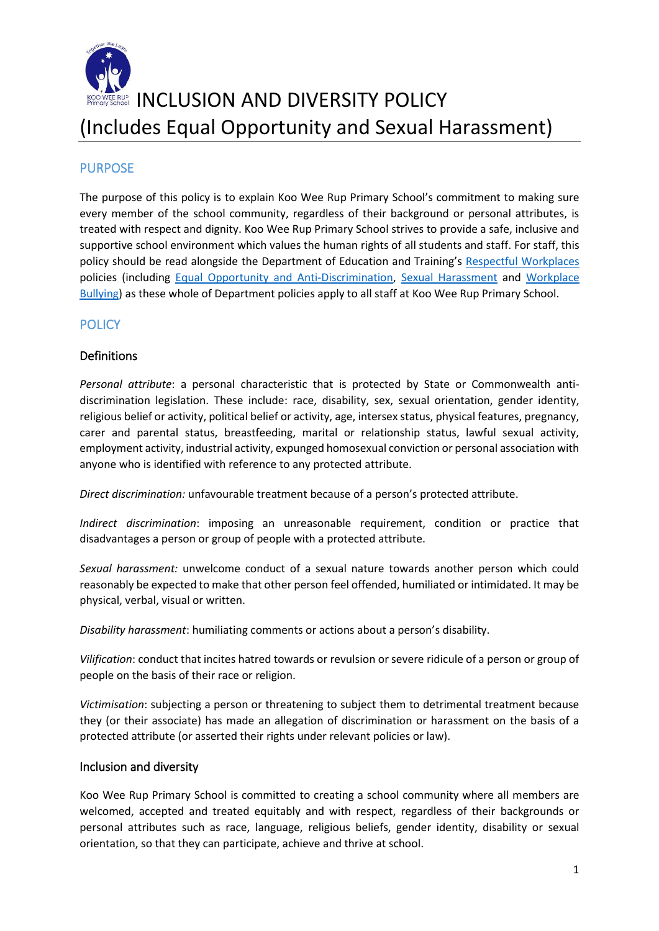

## **INCLUSION AND DIVERSITY POLICY** (Includes Equal Opportunity and Sexual Harassment)

## **PURPOSE**

The purpose of this policy is to explain Koo Wee Rup Primary School's commitment to making sure every member of the school community, regardless of their background or personal attributes, is treated with respect and dignity. Koo Wee Rup Primary School strives to provide a safe, inclusive and supportive school environment which values the human rights of all students and staff. For staff, this policy should be read alongside the Department of Education and Training's [Respectful Workplaces](https://www2.education.vic.gov.au/pal/respectful-workplaces/overview) policies (including [Equal Opportunity and Anti-Discrimination,](https://www2.education.vic.gov.au/pal/equal-opportunity/overview) [Sexual Harassment](https://www2.education.vic.gov.au/pal/sexual-harassment/overview) and [Workplace](https://www2.education.vic.gov.au/pal/workplace-bullying/policy)  [Bullying\)](https://www2.education.vic.gov.au/pal/workplace-bullying/policy) as these whole of Department policies apply to all staff at Koo Wee Rup Primary School.

### **POLICY**

### Definitions

*Personal attribute*: a personal characteristic that is protected by State or Commonwealth antidiscrimination legislation. These include: race, disability, sex, sexual orientation, gender identity, religious belief or activity, political belief or activity, age, intersex status, physical features, pregnancy, carer and parental status, breastfeeding, marital or relationship status, lawful sexual activity, employment activity, industrial activity, expunged homosexual conviction or personal association with anyone who is identified with reference to any protected attribute.

*Direct discrimination:* unfavourable treatment because of a person's protected attribute.

*Indirect discrimination*: imposing an unreasonable requirement, condition or practice that disadvantages a person or group of people with a protected attribute.

*Sexual harassment:* unwelcome conduct of a sexual nature towards another person which could reasonably be expected to make that other person feel offended, humiliated or intimidated. It may be physical, verbal, visual or written.

*Disability harassment*: humiliating comments or actions about a person's disability.

*Vilification*: conduct that incites hatred towards or revulsion or severe ridicule of a person or group of people on the basis of their race or religion.

*Victimisation*: subjecting a person or threatening to subject them to detrimental treatment because they (or their associate) has made an allegation of discrimination or harassment on the basis of a protected attribute (or asserted their rights under relevant policies or law).

#### Inclusion and diversity

Koo Wee Rup Primary School is committed to creating a school community where all members are welcomed, accepted and treated equitably and with respect, regardless of their backgrounds or personal attributes such as race, language, religious beliefs, gender identity, disability or sexual orientation, so that they can participate, achieve and thrive at school.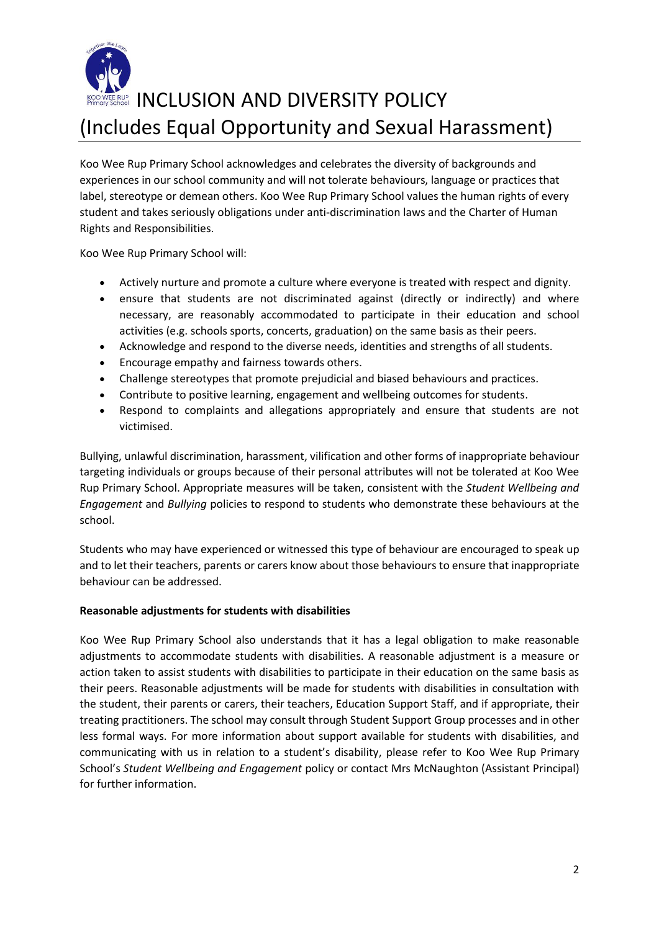

## **INCLUSION AND DIVERSITY POLICY** (Includes Equal Opportunity and Sexual Harassment)

Koo Wee Rup Primary School acknowledges and celebrates the diversity of backgrounds and experiences in our school community and will not tolerate behaviours, language or practices that label, stereotype or demean others. Koo Wee Rup Primary School values the human rights of every student and takes seriously obligations under anti-discrimination laws and the Charter of Human Rights and Responsibilities.

Koo Wee Rup Primary School will:

- Actively nurture and promote a culture where everyone is treated with respect and dignity.
- ensure that students are not discriminated against (directly or indirectly) and where necessary, are reasonably accommodated to participate in their education and school activities (e.g. schools sports, concerts, graduation) on the same basis as their peers.
- Acknowledge and respond to the diverse needs, identities and strengths of all students.
- Encourage empathy and fairness towards others.
- Challenge stereotypes that promote prejudicial and biased behaviours and practices.
- Contribute to positive learning, engagement and wellbeing outcomes for students.
- Respond to complaints and allegations appropriately and ensure that students are not victimised.

Bullying, unlawful discrimination, harassment, vilification and other forms of inappropriate behaviour targeting individuals or groups because of their personal attributes will not be tolerated at Koo Wee Rup Primary School. Appropriate measures will be taken, consistent with the *Student Wellbeing and Engagement* and *Bullying* policies to respond to students who demonstrate these behaviours at the school.

Students who may have experienced or witnessed this type of behaviour are encouraged to speak up and to let their teachers, parents or carers know about those behaviours to ensure that inappropriate behaviour can be addressed.

#### **Reasonable adjustments for students with disabilities**

Koo Wee Rup Primary School also understands that it has a legal obligation to make reasonable adjustments to accommodate students with disabilities. A reasonable adjustment is a measure or action taken to assist students with disabilities to participate in their education on the same basis as their peers. Reasonable adjustments will be made for students with disabilities in consultation with the student, their parents or carers, their teachers, Education Support Staff, and if appropriate, their treating practitioners. The school may consult through Student Support Group processes and in other less formal ways. For more information about support available for students with disabilities, and communicating with us in relation to a student's disability, please refer to Koo Wee Rup Primary School's *Student Wellbeing and Engagement* policy or contact Mrs McNaughton (Assistant Principal) for further information.